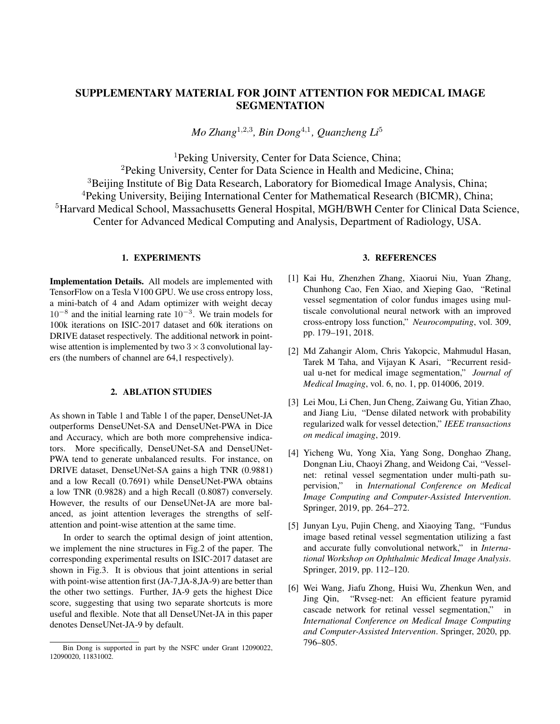## SUPPLEMENTARY MATERIAL FOR JOINT ATTENTION FOR MEDICAL IMAGE SEGMENTATION

*Mo Zhang*<sup>1</sup>,2,<sup>3</sup> *, Bin Dong*<sup>4</sup>,<sup>1</sup> *, Quanzheng Li*<sup>5</sup>

<sup>1</sup>Peking University, Center for Data Science, China;

<sup>2</sup>Peking University, Center for Data Science in Health and Medicine, China; <sup>3</sup>Beijing Institute of Big Data Research, Laboratory for Biomedical Image Analysis, China; <sup>4</sup>Peking University, Beijing International Center for Mathematical Research (BICMR), China; <sup>5</sup>Harvard Medical School, Massachusetts General Hospital, MGH/BWH Center for Clinical Data Science, Center for Advanced Medical Computing and Analysis, Department of Radiology, USA.

## 1. EXPERIMENTS

Implementation Details. All models are implemented with TensorFlow on a Tesla V100 GPU. We use cross entropy loss, a mini-batch of 4 and Adam optimizer with weight decay  $10^{-8}$  and the initial learning rate  $10^{-3}$ . We train models for 100k iterations on ISIC-2017 dataset and 60k iterations on DRIVE dataset respectively. The additional network in pointwise attention is implemented by two  $3 \times 3$  convolutional layers (the numbers of channel are 64,1 respectively).

## 2. ABLATION STUDIES

As shown in Table 1 and Table 1 of the paper, DenseUNet-JA outperforms DenseUNet-SA and DenseUNet-PWA in Dice and Accuracy, which are both more comprehensive indicators. More specifically, DenseUNet-SA and DenseUNet-PWA tend to generate unbalanced results. For instance, on DRIVE dataset, DenseUNet-SA gains a high TNR (0.9881) and a low Recall (0.7691) while DenseUNet-PWA obtains a low TNR (0.9828) and a high Recall (0.8087) conversely. However, the results of our DenseUNet-JA are more balanced, as joint attention leverages the strengths of selfattention and point-wise attention at the same time.

In order to search the optimal design of joint attention, we implement the nine structures in Fig.2 of the paper. The corresponding experimental results on ISIC-2017 dataset are shown in Fig.3. It is obvious that joint attentions in serial with point-wise attention first (JA-7, JA-8, JA-9) are better than the other two settings. Further, JA-9 gets the highest Dice score, suggesting that using two separate shortcuts is more useful and flexible. Note that all DenseUNet-JA in this paper denotes DenseUNet-JA-9 by default.

## 3. REFERENCES

- [1] Kai Hu, Zhenzhen Zhang, Xiaorui Niu, Yuan Zhang, Chunhong Cao, Fen Xiao, and Xieping Gao, "Retinal vessel segmentation of color fundus images using multiscale convolutional neural network with an improved cross-entropy loss function," *Neurocomputing*, vol. 309, pp. 179–191, 2018.
- [2] Md Zahangir Alom, Chris Yakopcic, Mahmudul Hasan, Tarek M Taha, and Vijayan K Asari, "Recurrent residual u-net for medical image segmentation," *Journal of Medical Imaging*, vol. 6, no. 1, pp. 014006, 2019.
- [3] Lei Mou, Li Chen, Jun Cheng, Zaiwang Gu, Yitian Zhao, and Jiang Liu, "Dense dilated network with probability regularized walk for vessel detection," *IEEE transactions on medical imaging*, 2019.
- [4] Yicheng Wu, Yong Xia, Yang Song, Donghao Zhang, Dongnan Liu, Chaoyi Zhang, and Weidong Cai, "Vesselnet: retinal vessel segmentation under multi-path supervision," in *International Conference on Medical Image Computing and Computer-Assisted Intervention*. Springer, 2019, pp. 264–272.
- [5] Junyan Lyu, Pujin Cheng, and Xiaoying Tang, "Fundus image based retinal vessel segmentation utilizing a fast and accurate fully convolutional network," in *International Workshop on Ophthalmic Medical Image Analysis*. Springer, 2019, pp. 112–120.
- [6] Wei Wang, Jiafu Zhong, Huisi Wu, Zhenkun Wen, and Jing Qin, "Rvseg-net: An efficient feature pyramid cascade network for retinal vessel segmentation," in *International Conference on Medical Image Computing and Computer-Assisted Intervention*. Springer, 2020, pp. 796–805.

Bin Dong is supported in part by the NSFC under Grant 12090022, 12090020, 11831002.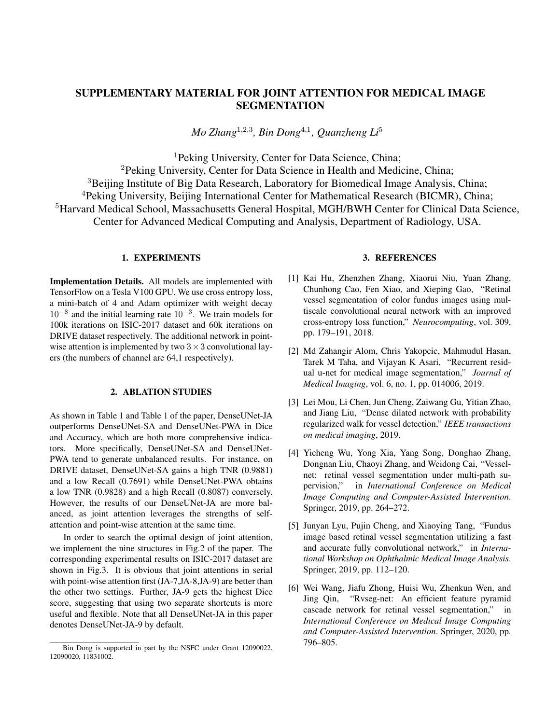| Methods       | Recall | <b>TNR</b> | Dice   | Accuracy | Auc    |
|---------------|--------|------------|--------|----------|--------|
| Hu[1]         | 0.7772 | 0.9793     |        | 0.9533   | 0.9759 |
| Alom $[2]$    | 0.7792 | 0.9813     | 0.8171 | 0.9556   | 0.9784 |
| Mou[3]        | 0.8126 | 0.9788     |        | 0.9594   | 0.9796 |
| Wu[4]         | 0.8038 | 0.9802     |        | 0.9578   | 0.9821 |
| Lyu[5]        | 0.7940 | 0.9820     |        | 0.9579   | 0.9826 |
| Wang[6]       | 0.8107 | 0.9845     |        | 0.9681   | 0.9817 |
| DenseUNet     | 0.7635 | 0.9875     | 0.8048 | 0.9677   | 0.9802 |
| DenseUNet-SA  | 0.7691 | 0.9881     | 0.8109 | 0.9687   | 0.9838 |
| DenseUNet-PWA | 0.8087 | 0.9828     | 0.8118 | 0.9673   | 0.9826 |
| DenseUNet-JA  | 0.7907 | 0.9864     | 0.8164 | 0.9690   | 0.9845 |

Table 1. Quantitative results of different methods on DRIVE dataset.



Fig. 1. The architecture of DenseUNet.



Fig. 2. Comparisons of segmentation maps of different models on ISIC-2017 dataset.